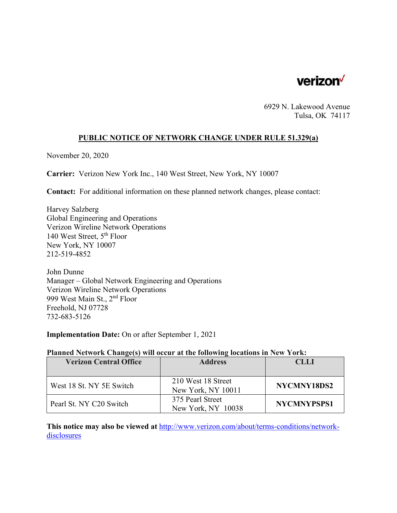

6929 N. Lakewood Avenue Tulsa, OK 74117

### **PUBLIC NOTICE OF NETWORK CHANGE UNDER RULE 51.329(a)**

November 20, 2020

**Carrier:** Verizon New York Inc., 140 West Street, New York, NY 10007

**Contact:** For additional information on these planned network changes, please contact:

Harvey Salzberg Global Engineering and Operations Verizon Wireline Network Operations 140 West Street, 5th Floor New York, NY 10007 212-519-4852

John Dunne Manager – Global Network Engineering and Operations Verizon Wireline Network Operations 999 West Main St., 2nd Floor Freehold, NJ 07728 732-683-5126

**Implementation Date:** On or after September 1, 2021

#### **Planned Network Change(s) will occur at the following locations in New York:**

| <b>Verizon Central Office</b> | <b>Address</b>     | <b>CLLI</b> |
|-------------------------------|--------------------|-------------|
|                               |                    |             |
| West 18 St. NY 5E Switch      | 210 West 18 Street | NYCMNY18DS2 |
|                               | New York, NY 10011 |             |
| Pearl St. NY C20 Switch       | 375 Pearl Street   | NYCMNYPSPS1 |
|                               | New York, NY 10038 |             |

**This notice may also be viewed at** http://www.verizon.com/about/terms-conditions/networkdisclosures